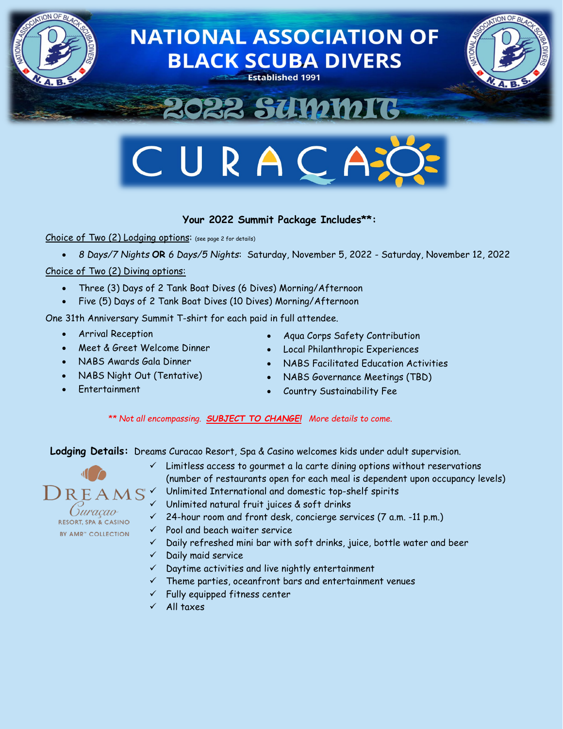



# **Your 2022 Summit Package Includes\*\*:**

Choice of Two (2) Lodging options: (see page 2 for details)

• *8 Days/7 Nights* **OR** *6 Days/5 Nights*: Saturday, November 5, 2022 - Saturday, November 12, 2022

### Choice of Two (2) Diving options:

- Three (3) Days of 2 Tank Boat Dives (6 Dives) Morning/Afternoon
- Five (5) Days of 2 Tank Boat Dives (10 Dives) Morning/Afternoon

One 31th Anniversary Summit T-shirt for each paid in full attendee.

- Arrival Reception
- Meet & Greet Welcome Dinner
- NABS Awards Gala Dinner
- NABS Night Out (Tentative)
- Entertainment
- Aqua Corps Safety Contribution
- Local Philanthropic Experiences
- NABS Facilitated Education Activities
- NABS Governance Meetings (TBD)
- Country Sustainability Fee

*\*\* Not all encompassing. SUBJECT TO CHANGE! More details to come.*

**Lodging Details:** Dreams Curacao Resort, Spa & Casino welcomes kids under adult supervision.



- $\checkmark$  Limitless access to gourmet a la carte dining options without reservations (number of restaurants open for each meal is dependent upon occupancy levels)
- $\mathcal{O} \, \mathsf{R} \, \mathsf{E} \, \mathsf{A} \, \mathsf{M} \, \mathsf{S}^\ast$  Unlimited International and domestic top-shelf spirits
	- $\checkmark$  Unlimited natural fruit juices & soft drinks
	- $\checkmark$  24-hour room and front desk, concierge services (7 a.m. -11 p.m.)
	- $\checkmark$  Pool and beach waiter service
	- $\checkmark$  Daily refreshed mini bar with soft drinks, juice, bottle water and beer
	- $\checkmark$  Daily maid service
	- $\checkmark$  Daytime activities and live nightly entertainment
	- $\checkmark$  Theme parties, oceanfront bars and entertainment venues
	- $\checkmark$  Fully equipped fitness center
	- $\checkmark$  All taxes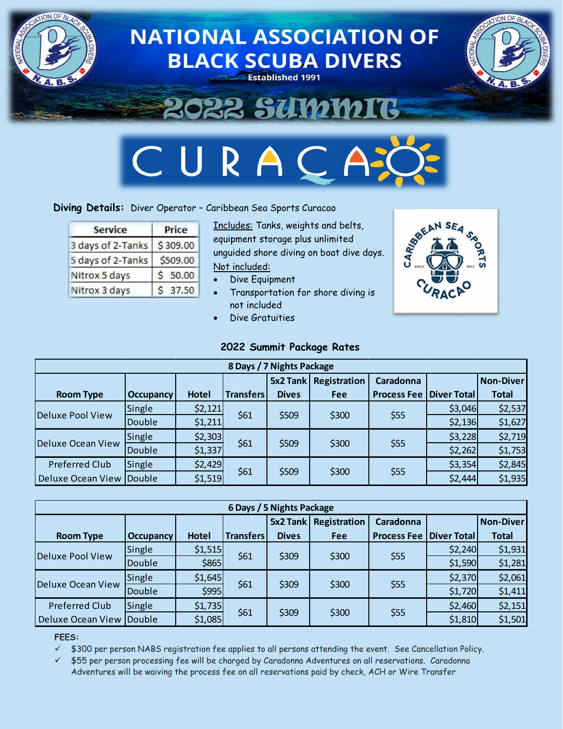

# **Diving Details:** Diver Operator – Caribbean Sea Sports Curacao

| <b>Service</b>    | <b>Price</b> |  |  |  |
|-------------------|--------------|--|--|--|
| 3 days of 2-Tanks | \$309.00     |  |  |  |
| 5 days of 2-Tanks | \$509.00     |  |  |  |
| Nitrox 5 days     | 50.00        |  |  |  |
| Nitrox 3 days     | 37.50        |  |  |  |

Includes: Tanks, weights and belts, equipment storage plus unlimited unguided shore diving on boat dive days. Not included:

- Dive Equipment
- Transportation for shore diving is not included
- Dive Gratuities

### **2022 Summit Package Rates**



| 8 Days / 7 Nights Package |                  |              |                  |              |              |                    |             |                  |  |
|---------------------------|------------------|--------------|------------------|--------------|--------------|--------------------|-------------|------------------|--|
|                           |                  |              |                  | $5x2$ Tank   | Registration | Caradonna          |             | <b>Non-Diver</b> |  |
| <b>Room Type</b>          | <b>Occupancy</b> | <b>Hotel</b> | <b>Transfers</b> | <b>Dives</b> | <b>Fee</b>   | <b>Process Fee</b> | Diver Total | <b>Total</b>     |  |
| Deluxe Pool View          | Single           | \$2,121      | \$61             | \$509        | \$300        | \$55               | \$3,046     | \$2,537          |  |
|                           | Double           | \$1,211      |                  |              |              |                    | \$2,136     | \$1,627          |  |
| Deluxe Ocean View         | Single           | \$2,303      | \$61             | \$509        | \$300        | \$55               | \$3,228     | \$2,719          |  |
|                           | Double           | \$1,337      |                  |              |              |                    | \$2,262     | \$1,753          |  |
| <b>Preferred Club</b>     | Single           | \$2,429      | \$61             | \$509        | \$300        | \$55               | \$3,354     | \$2,845          |  |
| Deluxe Ocean View Double  |                  | \$1,519      |                  |              |              |                    | \$2,444     | \$1,935          |  |

| 6 Days / 5 Nights Package |                  |         |                  |              |              |                                  |         |                  |  |  |
|---------------------------|------------------|---------|------------------|--------------|--------------|----------------------------------|---------|------------------|--|--|
|                           |                  |         |                  | $5x2$ Tank   | Registration | Caradonna                        |         | <b>Non-Diver</b> |  |  |
| <b>Room Type</b>          | <b>Occupancy</b> | Hotel   | <b>Transfers</b> | <b>Dives</b> | Fee          | <b>Process Fee   Diver Total</b> |         | <b>Total</b>     |  |  |
| <b>Deluxe Pool View</b>   | Single           | \$1,515 | \$61             | \$309        | \$300        | \$55                             | \$2,240 | \$1,931          |  |  |
|                           | Double           | \$865   |                  |              |              |                                  | \$1,590 | \$1,281          |  |  |
| <b>Deluxe Ocean View</b>  | Single           | \$1,645 | \$61             | \$309        | \$300        | \$55                             | \$2,370 | \$2,061          |  |  |
|                           | Double           | \$995   |                  |              |              |                                  | \$1,720 | \$1,411          |  |  |
| <b>Preferred Club</b>     | Single           | \$1,735 | \$61             | \$309        | \$300        | \$55                             | \$2,460 | \$2,151          |  |  |
| Deluxe Ocean View Double  |                  | \$1,085 |                  |              |              |                                  | \$1,810 | \$1,501          |  |  |

#### **FEES:**

 $\checkmark$  \$300 per person NABS registration fee applies to all persons attending the event. See Cancellation Policy.

 $\checkmark$  \$55 per person processing fee will be charged by Caradonna Adventures on all reservations. Caradonna Adventures will be waiving the process fee on all reservations paid by check, ACH or Wire Transfer